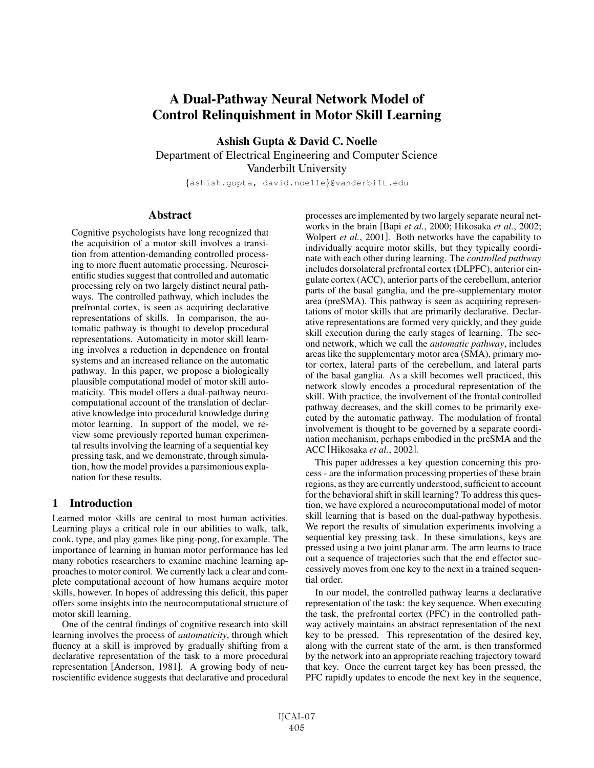# A Dual-Pathway Neural Network Model of Control Relinquishment in Motor Skill Learning

Ashish Gupta & David C. Noelle Department of Electrical Engineering and Computer Science Vanderbilt University

{ashish.gupta, david.noelle}@vanderbilt.edu

#### **Abstract**

Cognitive psychologists have long recognized that the acquisition of a motor skill involves a transition from attention-demanding controlled processing to more fluent automatic processing. Neuroscientific studies suggest that controlled and automatic processing rely on two largely distinct neural pathways. The controlled pathway, which includes the prefrontal cortex, is seen as acquiring declarative representations of skills. In comparison, the automatic pathway is thought to develop procedural representations. Automaticity in motor skill learning involves a reduction in dependence on frontal systems and an increased reliance on the automatic pathway. In this paper, we propose a biologically plausible computational model of motor skill automaticity. This model offers a dual-pathway neurocomputational account of the translation of declarative knowledge into procedural knowledge during motor learning. In support of the model, we review some previously reported human experimental results involving the learning of a sequential key pressing task, and we demonstrate, through simulation, how the model provides a parsimonious explanation for these results.

## 1 Introduction

Learned motor skills are central to most human activities. Learning plays a critical role in our abilities to walk, talk, cook, type, and play games like ping-pong, for example. The importance of learning in human motor performance has led many robotics researchers to examine machine learning approaches to motor control. We currently lack a clear and complete computational account of how humans acquire motor skills, however. In hopes of addressing this deficit, this paper offers some insights into the neurocomputational structure of motor skill learning.

One of the central findings of cognitive research into skill learning involves the process of *automaticity*, through which fluency at a skill is improved by gradually shifting from a declarative representation of the task to a more procedural representation [Anderson, 1981]. A growing body of neuroscientific evidence suggests that declarative and procedural processes are implemented by two largely separate neural networks in the brain [Bapi *et al.*, 2000; Hikosaka *et al.*, 2002; Wolpert *et al.*, 2001]. Both networks have the capability to individually acquire motor skills, but they typically coordinate with each other during learning. The *controlled pathway* includes dorsolateral prefrontal cortex (DLPFC), anterior cingulate cortex (ACC), anterior parts of the cerebellum, anterior parts of the basal ganglia, and the pre-supplementary motor area (preSMA). This pathway is seen as acquiring representations of motor skills that are primarily declarative. Declarative representations are formed very quickly, and they guide skill execution during the early stages of learning. The second network, which we call the *automatic pathway*, includes areas like the supplementary motor area (SMA), primary motor cortex, lateral parts of the cerebellum, and lateral parts of the basal ganglia. As a skill becomes well practiced, this network slowly encodes a procedural representation of the skill. With practice, the involvement of the frontal controlled pathway decreases, and the skill comes to be primarily executed by the automatic pathway. The modulation of frontal involvement is thought to be governed by a separate coordination mechanism, perhaps embodied in the preSMA and the ACC [Hikosaka *et al.*, 2002].

This paper addresses a key question concerning this process - are the information processing properties of these brain regions, as they are currently understood, sufficient to account for the behavioral shift in skill learning? To address this question, we have explored a neurocomputational model of motor skill learning that is based on the dual-pathway hypothesis. We report the results of simulation experiments involving a sequential key pressing task. In these simulations, keys are pressed using a two joint planar arm. The arm learns to trace out a sequence of trajectories such that the end effector successively moves from one key to the next in a trained sequential order.

In our model, the controlled pathway learns a declarative representation of the task: the key sequence. When executing the task, the prefrontal cortex (PFC) in the controlled pathway actively maintains an abstract representation of the next key to be pressed. This representation of the desired key, along with the current state of the arm, is then transformed by the network into an appropriate reaching trajectory toward that key. Once the current target key has been pressed, the PFC rapidly updates to encode the next key in the sequence,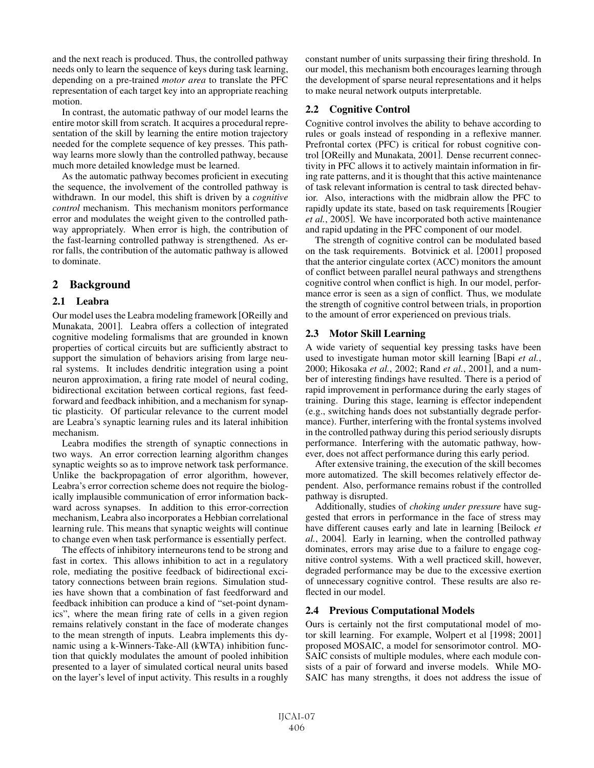and the next reach is produced. Thus, the controlled pathway needs only to learn the sequence of keys during task learning, depending on a pre-trained *motor area* to translate the PFC representation of each target key into an appropriate reaching motion.

In contrast, the automatic pathway of our model learns the entire motor skill from scratch. It acquires a procedural representation of the skill by learning the entire motion trajectory needed for the complete sequence of key presses. This pathway learns more slowly than the controlled pathway, because much more detailed knowledge must be learned.

As the automatic pathway becomes proficient in executing the sequence, the involvement of the controlled pathway is withdrawn. In our model, this shift is driven by a *cognitive control* mechanism. This mechanism monitors performance error and modulates the weight given to the controlled pathway appropriately. When error is high, the contribution of the fast-learning controlled pathway is strengthened. As error falls, the contribution of the automatic pathway is allowed to dominate.

# 2 Background

#### 2.1 Leabra

Our model uses the Leabra modeling framework [OReilly and Munakata, 2001]. Leabra offers a collection of integrated cognitive modeling formalisms that are grounded in known properties of cortical circuits but are sufficiently abstract to support the simulation of behaviors arising from large neural systems. It includes dendritic integration using a point neuron approximation, a firing rate model of neural coding, bidirectional excitation between cortical regions, fast feedforward and feedback inhibition, and a mechanism for synaptic plasticity. Of particular relevance to the current model are Leabra's synaptic learning rules and its lateral inhibition mechanism.

Leabra modifies the strength of synaptic connections in two ways. An error correction learning algorithm changes synaptic weights so as to improve network task performance. Unlike the backpropagation of error algorithm, however, Leabra's error correction scheme does not require the biologically implausible communication of error information backward across synapses. In addition to this error-correction mechanism, Leabra also incorporates a Hebbian correlational learning rule. This means that synaptic weights will continue to change even when task performance is essentially perfect.

The effects of inhibitory interneurons tend to be strong and fast in cortex. This allows inhibition to act in a regulatory role, mediating the positive feedback of bidirectional excitatory connections between brain regions. Simulation studies have shown that a combination of fast feedforward and feedback inhibition can produce a kind of "set-point dynamics", where the mean firing rate of cells in a given region remains relatively constant in the face of moderate changes to the mean strength of inputs. Leabra implements this dynamic using a k-Winners-Take-All (kWTA) inhibition function that quickly modulates the amount of pooled inhibition presented to a layer of simulated cortical neural units based on the layer's level of input activity. This results in a roughly constant number of units surpassing their firing threshold. In our model, this mechanism both encourages learning through the development of sparse neural representations and it helps to make neural network outputs interpretable.

#### 2.2 Cognitive Control

Cognitive control involves the ability to behave according to rules or goals instead of responding in a reflexive manner. Prefrontal cortex (PFC) is critical for robust cognitive control [OReilly and Munakata, 2001]. Dense recurrent connectivity in PFC allows it to actively maintain information in firing rate patterns, and it is thought that this active maintenance of task relevant information is central to task directed behavior. Also, interactions with the midbrain allow the PFC to rapidly update its state, based on task requirements [Rougier *et al.*, 2005]. We have incorporated both active maintenance and rapid updating in the PFC component of our model.

The strength of cognitive control can be modulated based on the task requirements. Botvinick et al. [2001] proposed that the anterior cingulate cortex (ACC) monitors the amount of conflict between parallel neural pathways and strengthens cognitive control when conflict is high. In our model, performance error is seen as a sign of conflict. Thus, we modulate the strength of cognitive control between trials, in proportion to the amount of error experienced on previous trials.

#### 2.3 Motor Skill Learning

A wide variety of sequential key pressing tasks have been used to investigate human motor skill learning [Bapi *et al.*, 2000; Hikosaka *et al.*, 2002; Rand *et al.*, 2001], and a number of interesting findings have resulted. There is a period of rapid improvement in performance during the early stages of training. During this stage, learning is effector independent (e.g., switching hands does not substantially degrade performance). Further, interfering with the frontal systems involved in the controlled pathway during this period seriously disrupts performance. Interfering with the automatic pathway, however, does not affect performance during this early period.

After extensive training, the execution of the skill becomes more automatized. The skill becomes relatively effector dependent. Also, performance remains robust if the controlled pathway is disrupted.

Additionally, studies of *choking under pressure* have suggested that errors in performance in the face of stress may have different causes early and late in learning [Beilock *et al.*, 2004]. Early in learning, when the controlled pathway dominates, errors may arise due to a failure to engage cognitive control systems. With a well practiced skill, however, degraded performance may be due to the excessive exertion of unnecessary cognitive control. These results are also reflected in our model.

#### 2.4 Previous Computational Models

Ours is certainly not the first computational model of motor skill learning. For example, Wolpert et al [1998; 2001] proposed MOSAIC, a model for sensorimotor control. MO-SAIC consists of multiple modules, where each module consists of a pair of forward and inverse models. While MO-SAIC has many strengths, it does not address the issue of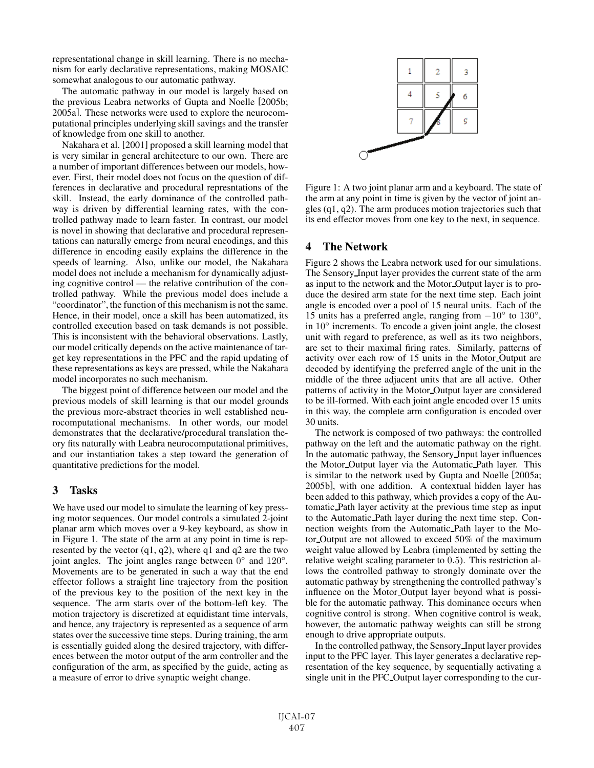representational change in skill learning. There is no mechanism for early declarative representations, making MOSAIC somewhat analogous to our automatic pathway.

The automatic pathway in our model is largely based on the previous Leabra networks of Gupta and Noelle [2005b; 2005a]. These networks were used to explore the neurocomputational principles underlying skill savings and the transfer of knowledge from one skill to another.

Nakahara et al. [2001] proposed a skill learning model that is very similar in general architecture to our own. There are a number of important differences between our models, however. First, their model does not focus on the question of differences in declarative and procedural represntations of the skill. Instead, the early dominance of the controlled pathway is driven by differential learning rates, with the controlled pathway made to learn faster. In contrast, our model is novel in showing that declarative and procedural representations can naturally emerge from neural encodings, and this difference in encoding easily explains the difference in the speeds of learning. Also, unlike our model, the Nakahara model does not include a mechanism for dynamically adjusting cognitive control — the relative contribution of the controlled pathway. While the previous model does include a "coordinator", the function of this mechanism is not the same. Hence, in their model, once a skill has been automatized, its controlled execution based on task demands is not possible. This is inconsistent with the behavioral observations. Lastly, our model critically depends on the active maintenance of target key representations in the PFC and the rapid updating of these representations as keys are pressed, while the Nakahara model incorporates no such mechanism.

The biggest point of difference between our model and the previous models of skill learning is that our model grounds the previous more-abstract theories in well established neurocomputational mechanisms. In other words, our model demonstrates that the declarative/procedural translation theory fits naturally with Leabra neurocomputational primitives, and our instantiation takes a step toward the generation of quantitative predictions for the model.

#### 3 Tasks

We have used our model to simulate the learning of key pressing motor sequences. Our model controls a simulated 2-joint planar arm which moves over a 9-key keyboard, as show in in Figure 1. The state of the arm at any point in time is represented by the vector  $(q1, q2)$ , where q1 and q2 are the two joint angles. The joint angles range between 0◦ and 120◦. Movements are to be generated in such a way that the end effector follows a straight line trajectory from the position of the previous key to the position of the next key in the sequence. The arm starts over of the bottom-left key. The motion trajectory is discretized at equidistant time intervals, and hence, any trajectory is represented as a sequence of arm states over the successive time steps. During training, the arm is essentially guided along the desired trajectory, with differences between the motor output of the arm controller and the configuration of the arm, as specified by the guide, acting as a measure of error to drive synaptic weight change.



Figure 1: A two joint planar arm and a keyboard. The state of the arm at any point in time is given by the vector of joint angles (q1, q2). The arm produces motion trajectories such that its end effector moves from one key to the next, in sequence.

#### 4 The Network

Figure 2 shows the Leabra network used for our simulations. The Sensory Input layer provides the current state of the arm as input to the network and the Motor Output layer is to produce the desired arm state for the next time step. Each joint angle is encoded over a pool of 15 neural units. Each of the 15 units has a preferred angle, ranging from  $-10°$  to  $130°$ , in 10◦ increments. To encode a given joint angle, the closest unit with regard to preference, as well as its two neighbors, are set to their maximal firing rates. Similarly, patterns of activity over each row of 15 units in the Motor Output are decoded by identifying the preferred angle of the unit in the middle of the three adjacent units that are all active. Other patterns of activity in the Motor Output layer are considered to be ill-formed. With each joint angle encoded over 15 units in this way, the complete arm configuration is encoded over 30 units.

The network is composed of two pathways: the controlled pathway on the left and the automatic pathway on the right. In the automatic pathway, the Sensory Input layer influences the Motor Output layer via the Automatic Path layer. This is similar to the network used by Gupta and Noelle [2005a; 2005b], with one addition. A contextual hidden layer has been added to this pathway, which provides a copy of the Automatic Path layer activity at the previous time step as input to the Automatic Path layer during the next time step. Connection weights from the Automatic Path layer to the Motor Output are not allowed to exceed 50% of the maximum weight value allowed by Leabra (implemented by setting the relative weight scaling parameter to 0.5). This restriction allows the controlled pathway to strongly dominate over the automatic pathway by strengthening the controlled pathway's influence on the Motor Output layer beyond what is possible for the automatic pathway. This dominance occurs when cognitive control is strong. When cognitive control is weak, however, the automatic pathway weights can still be strong enough to drive appropriate outputs.

In the controlled pathway, the Sensory Input layer provides input to the PFC layer. This layer generates a declarative representation of the key sequence, by sequentially activating a single unit in the PFC Output layer corresponding to the cur-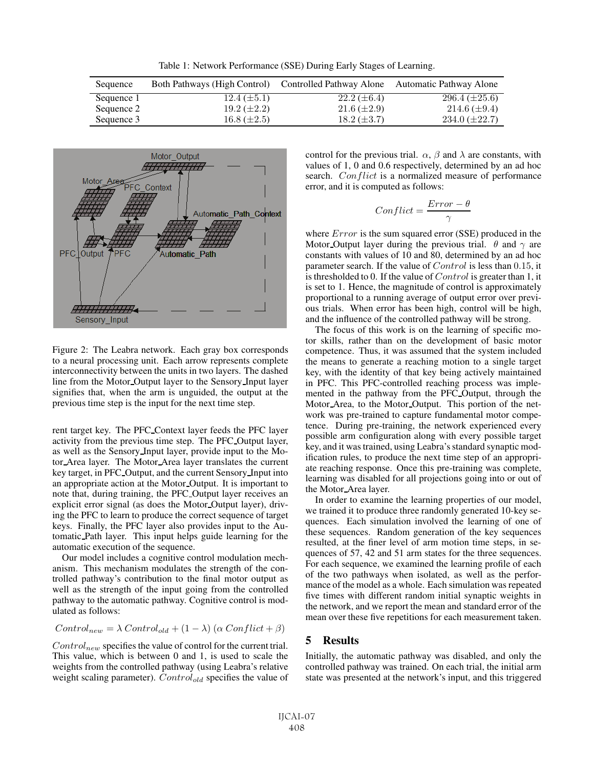Table 1: Network Performance (SSE) During Early Stages of Learning.

| Sequence   | Both Pathways (High Control) Controlled Pathway Alone Automatic Pathway Alone |                    |                      |
|------------|-------------------------------------------------------------------------------|--------------------|----------------------|
| Sequence 1 | $12.4 \ (\pm 5.1)$                                                            | $22.2 \ (\pm 6.4)$ | $296.4 \ (\pm 25.6)$ |
| Sequence 2 | $19.2 \ (\pm 2.2)$                                                            | $21.6 \ (\pm 2.9)$ | $214.6 \, (\pm 9.4)$ |
| Sequence 3 | $16.8 (\pm 2.5)$                                                              | $18.2 (\pm 3.7)$   | $234.0 (\pm 22.7)$   |



Figure 2: The Leabra network. Each gray box corresponds to a neural processing unit. Each arrow represents complete interconnectivity between the units in two layers. The dashed line from the Motor Output layer to the Sensory Input layer signifies that, when the arm is unguided, the output at the previous time step is the input for the next time step.

rent target key. The PFC Context layer feeds the PFC layer activity from the previous time step. The PFC Output layer, as well as the Sensory Input layer, provide input to the Motor Area layer. The Motor Area layer translates the current key target, in PFC Output, and the current Sensory Input into an appropriate action at the Motor Output. It is important to note that, during training, the PFC Output layer receives an explicit error signal (as does the Motor Output layer), driving the PFC to learn to produce the correct sequence of target keys. Finally, the PFC layer also provides input to the Automatic Path layer. This input helps guide learning for the automatic execution of the sequence.

Our model includes a cognitive control modulation mechanism. This mechanism modulates the strength of the controlled pathway's contribution to the final motor output as well as the strength of the input going from the controlled pathway to the automatic pathway. Cognitive control is modulated as follows:

$$
Control_{new} = \lambda Control_{old} + (1 - \lambda) (\alpha Conflict (1 + \beta)
$$

 $Control_{new}$  specifies the value of control for the current trial. This value, which is between 0 and 1, is used to scale the weights from the controlled pathway (using Leabra's relative weight scaling parameter).  $Control_{old}$  specifies the value of control for the previous trial.  $\alpha$ ,  $\beta$  and  $\lambda$  are constants, with values of 1, 0 and 0.6 respectively, determined by an ad hoc search. *Conflict* is a normalized measure of performance error, and it is computed as follows:

$$
Conflict = \frac{Error - \theta}{\gamma}
$$

where *Error* is the sum squared error (SSE) produced in the Motor Output layer during the previous trial.  $\theta$  and  $\gamma$  are constants with values of 10 and 80, determined by an ad hoc parameter search. If the value of Control is less than 0.15, it is thresholded to 0. If the value of Control is greater than 1, it is set to 1. Hence, the magnitude of control is approximately proportional to a running average of output error over previous trials. When error has been high, control will be high, and the influence of the controlled pathway will be strong.

The focus of this work is on the learning of specific motor skills, rather than on the development of basic motor competence. Thus, it was assumed that the system included the means to generate a reaching motion to a single target key, with the identity of that key being actively maintained in PFC. This PFC-controlled reaching process was implemented in the pathway from the PFC Output, through the Motor Area, to the Motor Output. This portion of the network was pre-trained to capture fundamental motor competence. During pre-training, the network experienced every possible arm configuration along with every possible target key, and it was trained, using Leabra's standard synaptic modification rules, to produce the next time step of an appropriate reaching response. Once this pre-training was complete, learning was disabled for all projections going into or out of the Motor Area layer.

In order to examine the learning properties of our model, we trained it to produce three randomly generated 10-key sequences. Each simulation involved the learning of one of these sequences. Random generation of the key sequences resulted, at the finer level of arm motion time steps, in sequences of 57, 42 and 51 arm states for the three sequences. For each sequence, we examined the learning profile of each of the two pathways when isolated, as well as the performance of the model as a whole. Each simulation was repeated five times with different random initial synaptic weights in the network, and we report the mean and standard error of the mean over these five repetitions for each measurement taken.

#### 5 Results

Initially, the automatic pathway was disabled, and only the controlled pathway was trained. On each trial, the initial arm state was presented at the network's input, and this triggered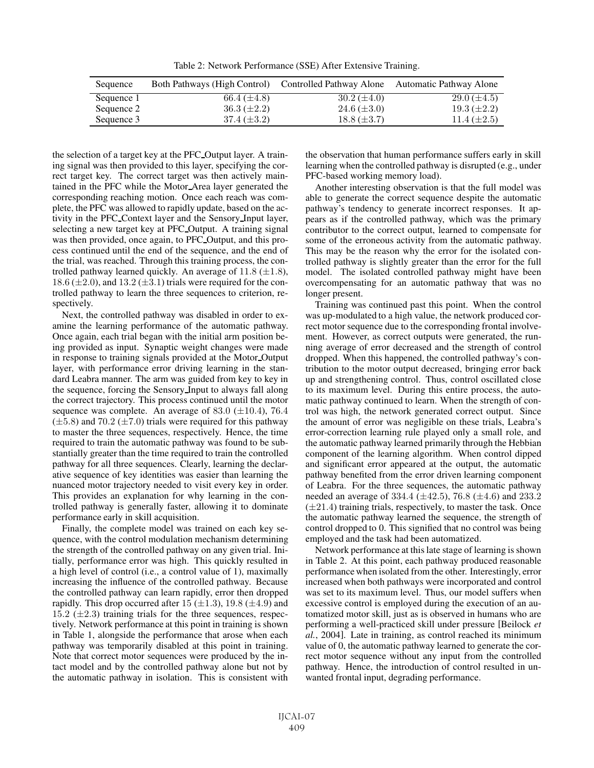Table 2: Network Performance (SSE) After Extensive Training.

| Sequence   | Both Pathways (High Control) Controlled Pathway Alone Automatic Pathway Alone |                    |                    |
|------------|-------------------------------------------------------------------------------|--------------------|--------------------|
| Sequence 1 | 66.4 $(\pm 4.8)$                                                              | $30.2 \ (\pm 4.0)$ | $29.0 \ (\pm 4.5)$ |
| Sequence 2 | $36.3 \ (\pm 2.2)$                                                            | $24.6 \ (\pm 3.0)$ | $19.3 \ (\pm 2.2)$ |
| Sequence 3 | $37.4 \ (\pm 3.2)$                                                            | $18.8 (\pm 3.7)$   | $11.4 \ (\pm 2.5)$ |

the selection of a target key at the PFC Output layer. A training signal was then provided to this layer, specifying the correct target key. The correct target was then actively maintained in the PFC while the Motor Area layer generated the corresponding reaching motion. Once each reach was complete, the PFC was allowed to rapidly update, based on the activity in the PFC Context layer and the Sensory Input layer, selecting a new target key at PFC Output. A training signal was then provided, once again, to PFC Output, and this process continued until the end of the sequence, and the end of the trial, was reached. Through this training process, the controlled pathway learned quickly. An average of  $11.8 \ (\pm 1.8)$ , 18.6 ( $\pm$ 2.0), and 13.2 ( $\pm$ 3.1) trials were required for the controlled pathway to learn the three sequences to criterion, respectively.

Next, the controlled pathway was disabled in order to examine the learning performance of the automatic pathway. Once again, each trial began with the initial arm position being provided as input. Synaptic weight changes were made in response to training signals provided at the Motor Output layer, with performance error driving learning in the standard Leabra manner. The arm was guided from key to key in the sequence, forcing the Sensory Input to always fall along the correct trajectory. This process continued until the motor sequence was complete. An average of 83.0  $(\pm 10.4)$ , 76.4  $(\pm 5.8)$  and 70.2  $(\pm 7.0)$  trials were required for this pathway to master the three sequences, respectively. Hence, the time required to train the automatic pathway was found to be substantially greater than the time required to train the controlled pathway for all three sequences. Clearly, learning the declarative sequence of key identities was easier than learning the nuanced motor trajectory needed to visit every key in order. This provides an explanation for why learning in the controlled pathway is generally faster, allowing it to dominate performance early in skill acquisition.

Finally, the complete model was trained on each key sequence, with the control modulation mechanism determining the strength of the controlled pathway on any given trial. Initially, performance error was high. This quickly resulted in a high level of control (i.e., a control value of 1), maximally increasing the influence of the controlled pathway. Because the controlled pathway can learn rapidly, error then dropped rapidly. This drop occurred after 15  $(\pm 1.3)$ , 19.8  $(\pm 4.9)$  and 15.2 ( $\pm$ 2.3) training trials for the three sequences, respectively. Network performance at this point in training is shown in Table 1, alongside the performance that arose when each pathway was temporarily disabled at this point in training. Note that correct motor sequences were produced by the intact model and by the controlled pathway alone but not by the automatic pathway in isolation. This is consistent with the observation that human performance suffers early in skill learning when the controlled pathway is disrupted (e.g., under PFC-based working memory load).

Another interesting observation is that the full model was able to generate the correct sequence despite the automatic pathway's tendency to generate incorrect responses. It appears as if the controlled pathway, which was the primary contributor to the correct output, learned to compensate for some of the erroneous activity from the automatic pathway. This may be the reason why the error for the isolated controlled pathway is slightly greater than the error for the full model. The isolated controlled pathway might have been overcompensating for an automatic pathway that was no longer present.

Training was continued past this point. When the control was up-modulated to a high value, the network produced correct motor sequence due to the corresponding frontal involvement. However, as correct outputs were generated, the running average of error decreased and the strength of control dropped. When this happened, the controlled pathway's contribution to the motor output decreased, bringing error back up and strengthening control. Thus, control oscillated close to its maximum level. During this entire process, the automatic pathway continued to learn. When the strength of control was high, the network generated correct output. Since the amount of error was negligible on these trials, Leabra's error-correction learning rule played only a small role, and the automatic pathway learned primarily through the Hebbian component of the learning algorithm. When control dipped and significant error appeared at the output, the automatic pathway benefited from the error driven learning component of Leabra. For the three sequences, the automatic pathway needed an average of 334.4 ( $\pm$ 42.5), 76.8 ( $\pm$ 4.6) and 233.2  $(\pm 21.4)$  training trials, respectively, to master the task. Once the automatic pathway learned the sequence, the strength of control dropped to 0. This signified that no control was being employed and the task had been automatized.

Network performance at this late stage of learning is shown in Table 2. At this point, each pathway produced reasonable performance when isolated from the other. Interestingly, error increased when both pathways were incorporated and control was set to its maximum level. Thus, our model suffers when excessive control is employed during the execution of an automatized motor skill, just as is observed in humans who are performing a well-practiced skill under pressure [Beilock *et al.*, 2004]. Late in training, as control reached its minimum value of 0, the automatic pathway learned to generate the correct motor sequence without any input from the controlled pathway. Hence, the introduction of control resulted in unwanted frontal input, degrading performance.